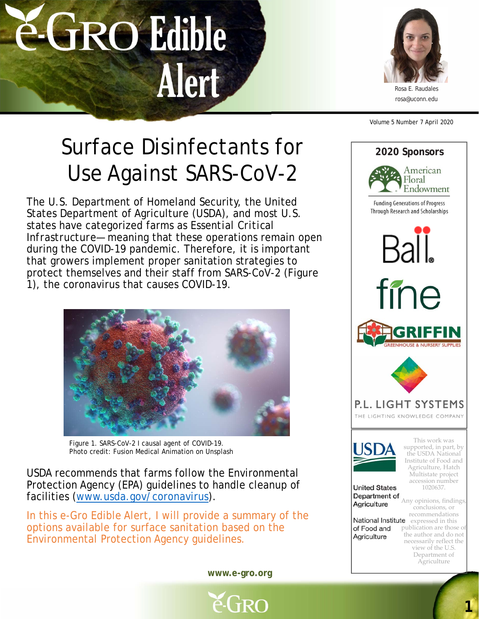



rosa@uconn.edu

Volume 5 Number 7 April 2020

## Surface Disinfectants for  $\frac{2020 \text{ S} \text{p} \cdot \text{p} \cdot \text{p} \cdot \text{p}}{2020 \text{ S} \text{p} \cdot \text{p} \cdot \text{p} \cdot \text{p}}$ Use Against SARS-CoV-2

The U.S. Department of Homeland Security, the United States Department of Agriculture (USDA), and most U.S. states have categorized farms as *Essential Critical Infrastructure*— meaning that these operations remain open during the COVID-19 pandemic. Therefore, it is important that growers implement proper sanitation strategies to protect themselves and their staff from SARS-CoV-2 (Figure 1), the coronavirus that causes COVID-19.



Figure 1. SARS-CoV-2 I causal agent of COVID-19. Photo credit: Fusion Medical Animation on Unsplash

USDA recommends that farms follow the Environmental Protection Agency (EPA) guidelines to handle cleanup of facilities (www.usda.gov/coronavirus).

In this e-Gro Edible Alert, I will provide a summary of the options available for surface sanitation based on the Environmental Protection Agency guidelines.

**www.e-gro.org**

é-Gro



**1**

Department of Agriculture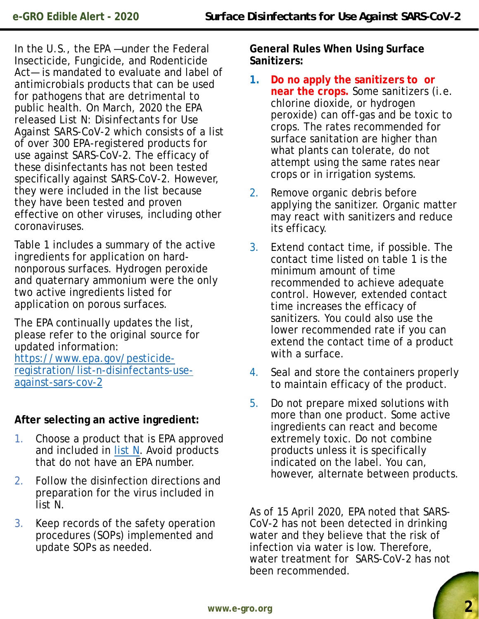In the U.S., the EPA —under the Federal Insecticide, Fungicide, and Rodenticide Act— is mandated to evaluate and label of antimicrobials products that can be used for pathogens that are detrimental to public health. On March, 2020 the EPA released *List N: Disinfectants for Use Against SARS-CoV-2* which consists of a list of over 300 EPA-registered products for use against SARS-CoV-2. The efficacy of these disinfectants has not been tested specifically against SARS-CoV-2. However, they were included in the list because they have been tested and proven effective on other viruses, including other coronaviruses.

Table 1 includes a summary of the active ingredients for application on hardnonporous surfaces. Hydrogen peroxide and quaternary ammonium were the only two active ingredients listed for application on porous surfaces.

The EPA continually updates the list, please refer to the original source for updated information: https://www.epa.gov/pesticideregistration/list-n-disinfectants-useagainst-sars-cov-2

## **After selecting an active ingredient:**

- 1. Choose a product that is EPA approved and included in list N. Avoid products that do not have an EPA number.
- 2. Follow the disinfection directions and preparation for the virus included in list N.
- 3. Keep records of the safety operation procedures (SOPs) implemented and update SOPs as needed.

**General Rules When Using Surface Sanitizers:**

- **1. Do no apply the sanitizers to or near the crops.** Some sanitizers (i.e. chlorine dioxide, or hydrogen peroxide) can off-gas and be toxic to crops. The rates recommended for surface sanitation are higher than what plants can tolerate, do not attempt using the same rates near crops or in irrigation systems.
- 2. Remove organic debris before applying the sanitizer. Organic matter may react with sanitizers and reduce its efficacy.
- 3. Extend contact time, if possible. The contact time listed on table 1 is the minimum amount of time recommended to achieve adequate control. However, extended contact time increases the efficacy of sanitizers. You could also use the lower recommended rate if you can extend the contact time of a product with a surface.
- 4. Seal and store the containers properly to maintain efficacy of the product.
- 5. Do not prepare mixed solutions with more than one product. Some active ingredients can react and become extremely toxic. Do not combine products unless it is specifically indicated on the label. You can, however, alternate between products.

As of 15 April 2020, EPA noted that SARS-CoV-2 has not been detected in drinking water and they believe that the risk of infection via water is low. Therefore, water treatment for SARS-CoV-2 has not been recommended.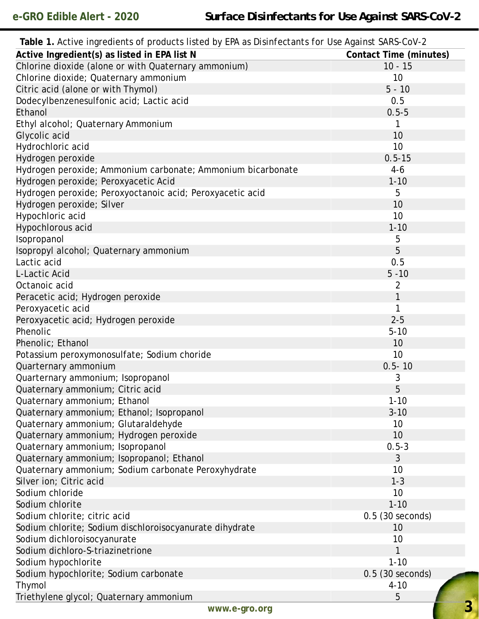| Table 1. Active ingredients of products listed by EPA as Disinfectants for Use Against SARS-CoV-2 |                               |
|---------------------------------------------------------------------------------------------------|-------------------------------|
| Active Ingredient(s) as listed in EPA list N                                                      | <b>Contact Time (minutes)</b> |
| Chlorine dioxide (alone or with Quaternary ammonium)                                              | $10 - 15$                     |
| Chlorine dioxide; Quaternary ammonium                                                             | 10                            |
| Citric acid (alone or with Thymol)                                                                | $5 - 10$                      |
| Dodecylbenzenesulfonic acid; Lactic acid                                                          | 0.5                           |
| Ethanol                                                                                           | $0.5 - 5$                     |
| Ethyl alcohol; Quaternary Ammonium                                                                | 1                             |
| Glycolic acid                                                                                     | 10                            |
| Hydrochloric acid                                                                                 | 10 <sup>1</sup>               |
| Hydrogen peroxide                                                                                 | $0.5 - 15$                    |
| Hydrogen peroxide; Ammonium carbonate; Ammonium bicarbonate                                       | $4-6$                         |
| Hydrogen peroxide; Peroxyacetic Acid                                                              | $1 - 10$                      |
| Hydrogen peroxide; Peroxyoctanoic acid; Peroxyacetic acid                                         | 5                             |
| Hydrogen peroxide; Silver                                                                         | 10                            |
| Hypochloric acid                                                                                  | 10                            |
| Hypochlorous acid                                                                                 | $1 - 10$                      |
| Isopropanol                                                                                       | 5                             |
| Isopropyl alcohol; Quaternary ammonium                                                            | 5                             |
| Lactic acid                                                                                       | 0.5                           |
| L-Lactic Acid                                                                                     | $5 - 10$                      |
| Octanoic acid                                                                                     | 2                             |
| Peracetic acid; Hydrogen peroxide                                                                 | 1                             |
| Peroxyacetic acid                                                                                 | 1                             |
| Peroxyacetic acid; Hydrogen peroxide                                                              | $2 - 5$                       |
| Phenolic                                                                                          | $5 - 10$                      |
| Phenolic; Ethanol                                                                                 | 10                            |
| Potassium peroxymonosulfate; Sodium choride                                                       | 10                            |
| Quarternary ammonium                                                                              | $0.5 - 10$                    |
| Quarternary ammonium; Isopropanol                                                                 | 3                             |
| Quaternary ammonium; Citric acid                                                                  | 5                             |
| Quaternary ammonium; Ethanol                                                                      | $1 - 10$                      |
| Quaternary ammonium; Ethanol; Isopropanol                                                         | $3 - 10$                      |
| Quaternary ammonium; Glutaraldehyde                                                               | 10                            |
| Quaternary ammonium; Hydrogen peroxide                                                            | 10                            |
| Quaternary ammonium; Isopropanol                                                                  | $0.5 - 3$                     |
| Quaternary ammonium; Isopropanol; Ethanol                                                         | 3                             |
| Quaternary ammonium; Sodium carbonate Peroxyhydrate                                               | 10                            |
| Silver ion; Citric acid                                                                           | $1 - 3$                       |
| Sodium chloride                                                                                   | 10                            |
| Sodium chlorite                                                                                   | $1 - 10$                      |
| Sodium chlorite; citric acid                                                                      | $0.5$ (30 seconds)            |
| Sodium chlorite; Sodium dischloroisocyanurate dihydrate                                           | 10 <sup>1</sup>               |
| Sodium dichloroisocyanurate                                                                       | 10                            |
| Sodium dichloro-S-triazinetrione                                                                  | $\mathbf{1}$                  |
| Sodium hypochlorite                                                                               | $1 - 10$                      |
| Sodium hypochlorite; Sodium carbonate                                                             | 0.5 (30 seconds)              |
| Thymol                                                                                            | $4 - 10$                      |
| Triethylene glycol; Quaternary ammonium                                                           | 5                             |